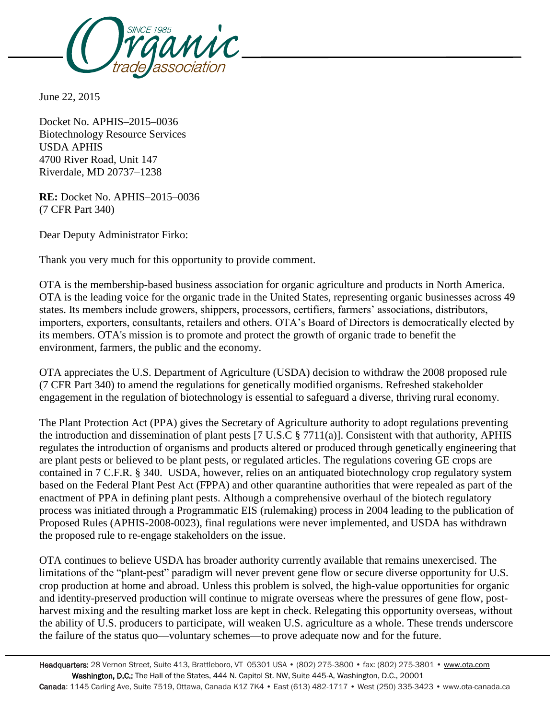

June 22, 2015

Docket No. APHIS–2015–0036 Biotechnology Resource Services USDA APHIS 4700 River Road, Unit 147 Riverdale, MD 20737–1238

**RE:** Docket No. APHIS–2015–0036 (7 CFR Part 340)

Dear Deputy Administrator Firko:

Thank you very much for this opportunity to provide comment.

OTA is the membership-based business association for organic agriculture and products in North America. OTA is the leading voice for the organic trade in the United States, representing organic businesses across 49 states. Its members include growers, shippers, processors, certifiers, farmers' associations, distributors, importers, exporters, consultants, retailers and others. OTA's Board of Directors is democratically elected by its members. OTA's mission is to promote and protect the growth of organic trade to benefit the environment, farmers, the public and the economy.

OTA appreciates the U.S. Department of Agriculture (USDA) decision to withdraw the 2008 proposed rule (7 CFR Part 340) to amend the regulations for genetically modified organisms. Refreshed stakeholder engagement in the regulation of biotechnology is essential to safeguard a diverse, thriving rural economy.

The Plant Protection Act (PPA) gives the Secretary of Agriculture authority to adopt regulations preventing the introduction and dissemination of plant pests [7 U.S.C § 7711(a)]. Consistent with that authority, APHIS regulates the introduction of organisms and products altered or produced through genetically engineering that are plant pests or believed to be plant pests, or regulated articles. The regulations covering GE crops are contained in 7 C.F.R. § 340. USDA, however, relies on an antiquated biotechnology crop regulatory system based on the Federal Plant Pest Act (FPPA) and other quarantine authorities that were repealed as part of the enactment of PPA in defining plant pests. Although a comprehensive overhaul of the biotech regulatory process was initiated through a Programmatic EIS (rulemaking) process in 2004 leading to the publication of Proposed Rules (APHIS-2008-0023), final regulations were never implemented, and USDA has withdrawn the proposed rule to re-engage stakeholders on the issue.

OTA continues to believe USDA has broader authority currently available that remains unexercised. The limitations of the "plant-pest" paradigm will never prevent gene flow or secure diverse opportunity for U.S. crop production at home and abroad. Unless this problem is solved, the high-value opportunities for organic and identity-preserved production will continue to migrate overseas where the pressures of gene flow, postharvest mixing and the resulting market loss are kept in check. Relegating this opportunity overseas, without the ability of U.S. producers to participate, will weaken U.S. agriculture as a whole. These trends underscore the failure of the status quo—voluntary schemes—to prove adequate now and for the future.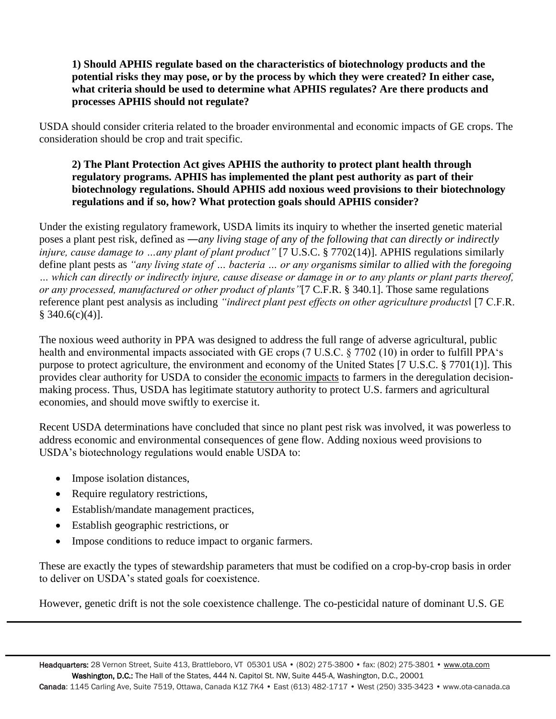## **1) Should APHIS regulate based on the characteristics of biotechnology products and the potential risks they may pose, or by the process by which they were created? In either case,**  what criteria should be used to determine what APHIS regulates? Are there products and **processes APHIS should not regulate?**

USDA should consider criteria related to the broader environmental and economic impacts of GE crops. The consideration should be crop and trait specific.

## **2) The Plant Protection Act gives APHIS the authority to protect plant health through regulatory programs. APHIS has implemented the plant pest authority as part of their biotechnology regulations. Should APHIS add noxious weed provisions to their biotechnology regulations and if so, how? What protection goals should APHIS consider?**

Under the existing regulatory framework, USDA limits its inquiry to whether the inserted genetic material poses a plant pest risk, defined as ―*any living stage of any of the following that can directly or indirectly injure, cause damage to …any plant of plant product*" [7 U.S.C. § 7702(14)]. APHIS regulations similarly define plant pests as *"any living state of … bacteria … or any organisms similar to allied with the foregoing … which can directly or indirectly injure, cause disease or damage in or to any plants or plant parts thereof, or any processed, manufactured or other product of plants"*[7 C.F.R. § 340.1]. Those same regulations reference plant pest analysis as including *"indirect plant pest effects on other agriculture products*‖ [7 C.F.R.  $§ 340.6(c)(4)].$ 

The noxious weed authority in PPA was designed to address the full range of adverse agricultural, public health and environmental impacts associated with GE crops (7 U.S.C. § 7702 (10) in order to fulfill PPA's purpose to protect agriculture, the environment and economy of the United States [7 U.S.C. § 7701(1)]. This provides clear authority for USDA to consider the economic impacts to farmers in the deregulation decisionmaking process. Thus, USDA has legitimate statutory authority to protect U.S. farmers and agricultural economies, and should move swiftly to exercise it.

Recent USDA determinations have concluded that since no plant pest risk was involved, it was powerless to address economic and environmental consequences of gene flow. Adding noxious weed provisions to USDA's biotechnology regulations would enable USDA to:

- Impose isolation distances,
- Require regulatory restrictions,
- Establish/mandate management practices,
- Establish geographic restrictions, or
- Impose conditions to reduce impact to organic farmers.

These are exactly the types of stewardship parameters that must be codified on a crop-by-crop basis in order to deliver on USDA's stated goals for coexistence.

However, genetic drift is not the sole coexistence challenge. The co-pesticidal nature of dominant U.S. GE